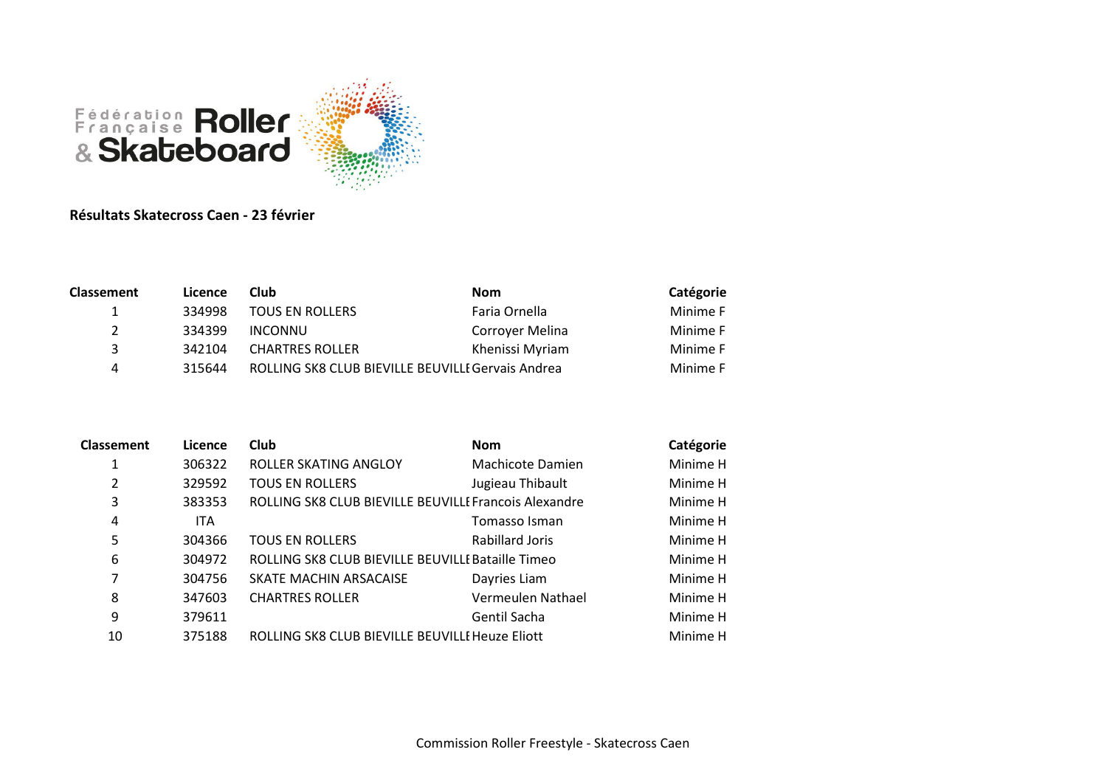

## Résultats Skatecross Caen - 23 février

| Licence | <b>Club</b>            | <b>Nom</b>      | Catégorie                                         |
|---------|------------------------|-----------------|---------------------------------------------------|
| 334998  | <b>TOUS EN ROLLERS</b> | Faria Ornella   | Minime F                                          |
| 334399  | INCONNU                | Corroyer Melina | Minime F                                          |
| 342104  | <b>CHARTRES ROLLER</b> | Khenissi Myriam | Minime F                                          |
| 315644  |                        |                 | Minime F                                          |
|         |                        |                 | ROLLING SK8 CLUB BIEVILLE BEUVILLE Gervais Andrea |

| <b>Classement</b> | Licence    | Club                                                  | <b>Nom</b>              | Catégorie |
|-------------------|------------|-------------------------------------------------------|-------------------------|-----------|
| 1                 | 306322     | ROLLER SKATING ANGLOY                                 | <b>Machicote Damien</b> | Minime H  |
| 2                 | 329592     | <b>TOUS EN ROLLERS</b>                                | Jugieau Thibault        | Minime H  |
| 3                 | 383353     | ROLLING SK8 CLUB BIEVILLE BEUVILLE Francois Alexandre |                         | Minime H  |
| 4                 | <b>ITA</b> |                                                       | Tomasso Isman           | Minime H  |
| 5                 | 304366     | <b>TOUS EN ROLLERS</b>                                | Rabillard Joris         | Minime H  |
| 6                 | 304972     | ROLLING SK8 CLUB BIEVILLE BEUVILLE Bataille Timeo     |                         | Minime H  |
| 7                 | 304756     | SKATE MACHIN ARSACAISE                                | Dayries Liam            | Minime H  |
| 8                 | 347603     | <b>CHARTRES ROLLER</b>                                | Vermeulen Nathael       | Minime H  |
| 9                 | 379611     |                                                       | Gentil Sacha            | Minime H  |
| 10                | 375188     | ROLLING SK8 CLUB BIEVILLE BEUVILLE Heuze Eliott       |                         | Minime H  |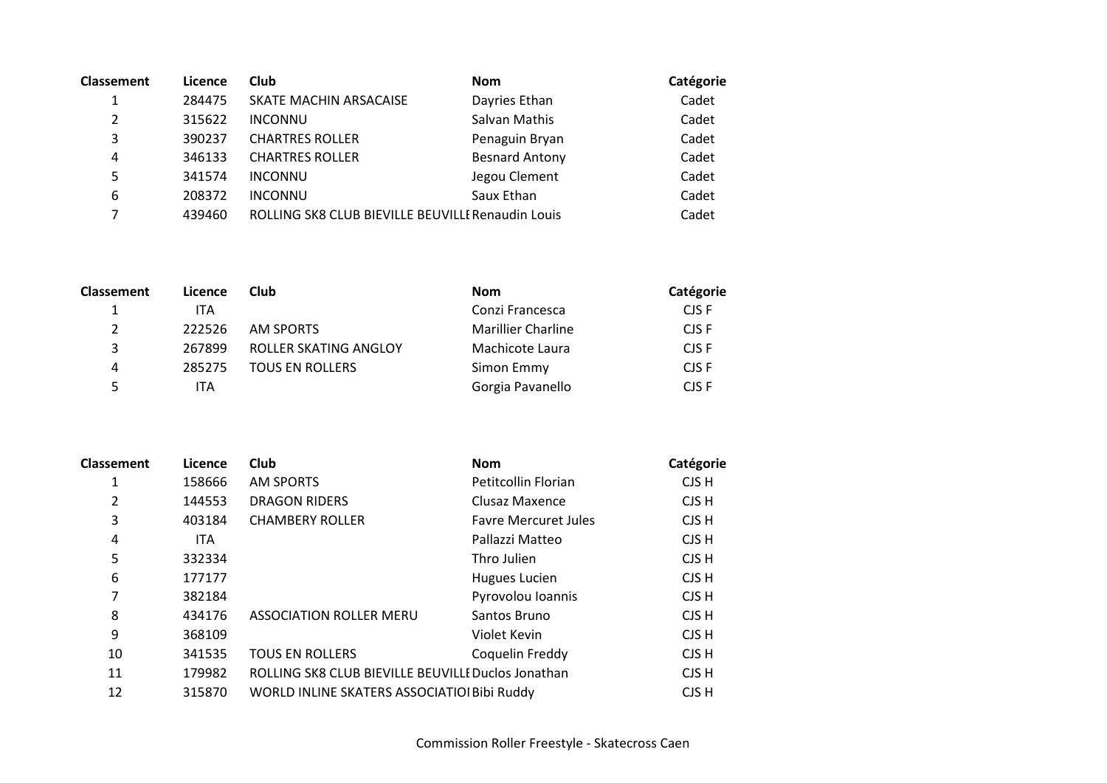| <b>Classement</b> | Licence | <b>Club</b>                                       | <b>Nom</b>            | Catégorie |
|-------------------|---------|---------------------------------------------------|-----------------------|-----------|
|                   | 284475  | SKATE MACHIN ARSACAISE                            | Dayries Ethan         | Cadet     |
| $\overline{2}$    | 315622  | <b>INCONNU</b>                                    | Salvan Mathis         | Cadet     |
| 3                 | 390237  | <b>CHARTRES ROLLER</b>                            | Penaguin Bryan        | Cadet     |
| 4                 | 346133  | <b>CHARTRES ROLLER</b>                            | <b>Besnard Antony</b> | Cadet     |
| 5                 | 341574  | <b>INCONNU</b>                                    | Jegou Clement         | Cadet     |
| 6                 | 208372  | <b>INCONNU</b>                                    | Saux Ethan            | Cadet     |
|                   | 439460  | ROLLING SK8 CLUB BIEVILLE BEUVILLE Renaudin Louis |                       | Cadet     |

| <b>Classement</b> | Licence | <b>Club</b>            | <b>Nom</b>                | Catégorie |
|-------------------|---------|------------------------|---------------------------|-----------|
|                   | ITA     |                        | Conzi Francesca           | CJS F     |
| 2                 | 222526  | AM SPORTS              | <b>Marillier Charline</b> | CJS F     |
| 3                 | 267899  | ROLLER SKATING ANGLOY  | Machicote Laura           | CJS F     |
| 4                 | 285275  | <b>TOUS EN ROLLERS</b> | Simon Emmy                | CJS F     |
|                   | ITA     |                        | Gorgia Pavanello          | CJS F     |

| <b>Classement</b> | Licence    | Club                                               | <b>Nom</b>                  | Catégorie |
|-------------------|------------|----------------------------------------------------|-----------------------------|-----------|
| 1                 | 158666     | <b>AM SPORTS</b>                                   | Petitcollin Florian         | CJS H     |
| 2                 | 144553     | <b>DRAGON RIDERS</b>                               | Clusaz Maxence              | CJS H     |
| 3                 | 403184     | <b>CHAMBERY ROLLER</b>                             | <b>Favre Mercuret Jules</b> | CJS H     |
| 4                 | <b>ITA</b> |                                                    | Pallazzi Matteo             | CJS H     |
| 5                 | 332334     |                                                    | Thro Julien                 | CJS H     |
| 6                 | 177177     |                                                    | <b>Hugues Lucien</b>        | CJS H     |
| 7                 | 382184     |                                                    | Pyrovolou Ioannis           | CJS H     |
| 8                 | 434176     | <b>ASSOCIATION ROLLER MERU</b>                     | Santos Bruno                | CJS H     |
| 9                 | 368109     |                                                    | Violet Kevin                | CJS H     |
| 10                | 341535     | <b>TOUS EN ROLLERS</b>                             | Coquelin Freddy             | CJS H     |
| 11                | 179982     | ROLLING SK8 CLUB BIEVILLE BEUVILLE Duclos Jonathan |                             | CJS H     |
| 12                | 315870     | WORLD INLINE SKATERS ASSOCIATIOI Bibi Ruddy        |                             | CJS H     |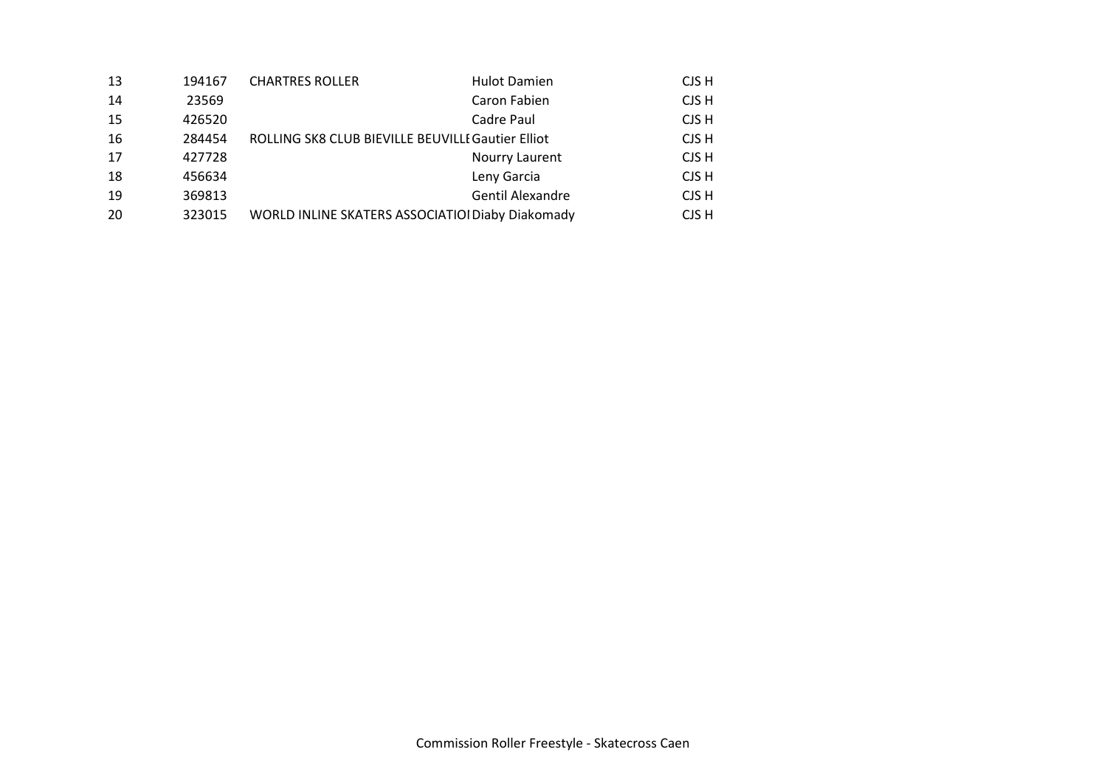| 13 | 194167 | <b>CHARTRES ROLLER</b>                            | <b>Hulot Damien</b>     | CJS H |
|----|--------|---------------------------------------------------|-------------------------|-------|
| 14 | 23569  |                                                   | Caron Fabien            | CJS H |
| 15 | 426520 |                                                   | Cadre Paul              | CJS H |
| 16 | 284454 | ROLLING SK8 CLUB BIEVILLE BEUVILLE Gautier Elliot |                         | CJS H |
| 17 | 427728 |                                                   | Nourry Laurent          | CJS H |
| 18 | 456634 |                                                   | Leny Garcia             | CJS H |
| 19 | 369813 |                                                   | <b>Gentil Alexandre</b> | CJS H |
| 20 | 323015 | WORLD INLINE SKATERS ASSOCIATIOI Diaby Diakomady  |                         | CJS H |